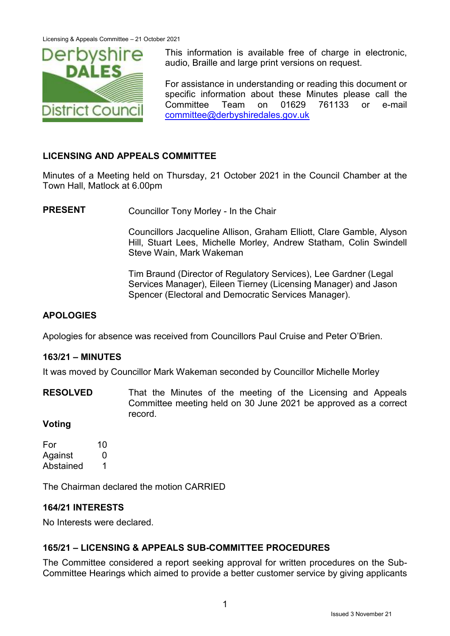

This information is available free of charge in electronic, audio, Braille and large print versions on request.

For assistance in understanding or reading this document or specific information about these Minutes please call the Committee Team on 01629 761133 or e-mail [committee@derbyshiredales.gov.uk](mailto:committee@derbyshiredales.gov.uk)

## **LICENSING AND APPEALS COMMITTEE**

Minutes of a Meeting held on Thursday, 21 October 2021 in the Council Chamber at the Town Hall, Matlock at 6.00pm

**PRESENT** Councillor Tony Morley - In the Chair

Councillors Jacqueline Allison, Graham Elliott, Clare Gamble, Alyson Hill, Stuart Lees, Michelle Morley, Andrew Statham, Colin Swindell Steve Wain, Mark Wakeman

Tim Braund (Director of Regulatory Services), Lee Gardner (Legal Services Manager), Eileen Tierney (Licensing Manager) and Jason Spencer (Electoral and Democratic Services Manager).

## **APOLOGIES**

Apologies for absence was received from Councillors Paul Cruise and Peter O'Brien.

#### **163/21 – MINUTES**

It was moved by Councillor Mark Wakeman seconded by Councillor Michelle Morley

**RESOLVED** That the Minutes of the meeting of the Licensing and Appeals Committee meeting held on 30 June 2021 be approved as a correct record.

#### **Voting**

For 10 Against 0 Abstained 1

The Chairman declared the motion CARRIED

#### **164/21 INTERESTS**

No Interests were declared.

# **165/21 – LICENSING & APPEALS SUB-COMMITTEE PROCEDURES**

The Committee considered a report seeking approval for written procedures on the Sub-Committee Hearings which aimed to provide a better customer service by giving applicants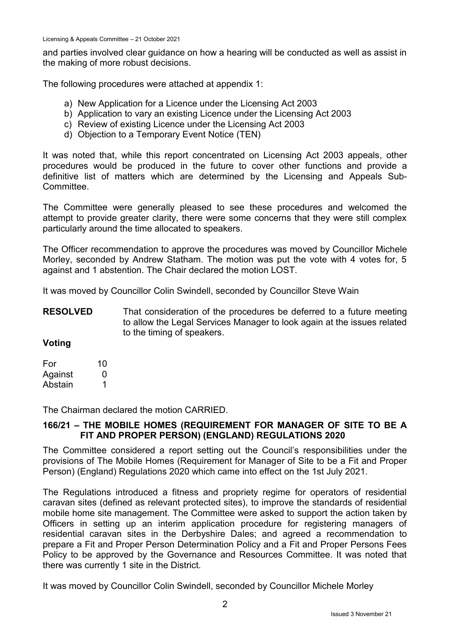Licensing & Appeals Committee – 21 October 2021

and parties involved clear guidance on how a hearing will be conducted as well as assist in the making of more robust decisions.

The following procedures were attached at appendix 1:

- a) New Application for a Licence under the Licensing Act 2003
- b) Application to vary an existing Licence under the Licensing Act 2003
- c) Review of existing Licence under the Licensing Act 2003
- d) Objection to a Temporary Event Notice (TEN)

It was noted that, while this report concentrated on Licensing Act 2003 appeals, other procedures would be produced in the future to cover other functions and provide a definitive list of matters which are determined by the Licensing and Appeals Sub-Committee.

The Committee were generally pleased to see these procedures and welcomed the attempt to provide greater clarity, there were some concerns that they were still complex particularly around the time allocated to speakers.

The Officer recommendation to approve the procedures was moved by Councillor Michele Morley, seconded by Andrew Statham. The motion was put the vote with 4 votes for, 5 against and 1 abstention. The Chair declared the motion LOST.

It was moved by Councillor Colin Swindell, seconded by Councillor Steve Wain

**RESOLVED** That consideration of the procedures be deferred to a future meeting to allow the Legal Services Manager to look again at the issues related to the timing of speakers.

#### **Voting**

| For     | 10 |
|---------|----|
| Against | O  |
| Abstain |    |

The Chairman declared the motion CARRIED.

## **166/21 – THE MOBILE HOMES (REQUIREMENT FOR MANAGER OF SITE TO BE A FIT AND PROPER PERSON) (ENGLAND) REGULATIONS 2020**

The Committee considered a report setting out the Council's responsibilities under the provisions of The Mobile Homes (Requirement for Manager of Site to be a Fit and Proper Person) (England) Regulations 2020 which came into effect on the 1st July 2021.

The Regulations introduced a fitness and propriety regime for operators of residential caravan sites (defined as relevant protected sites), to improve the standards of residential mobile home site management. The Committee were asked to support the action taken by Officers in setting up an interim application procedure for registering managers of residential caravan sites in the Derbyshire Dales; and agreed a recommendation to prepare a Fit and Proper Person Determination Policy and a Fit and Proper Persons Fees Policy to be approved by the Governance and Resources Committee. It was noted that there was currently 1 site in the District.

It was moved by Councillor Colin Swindell, seconded by Councillor Michele Morley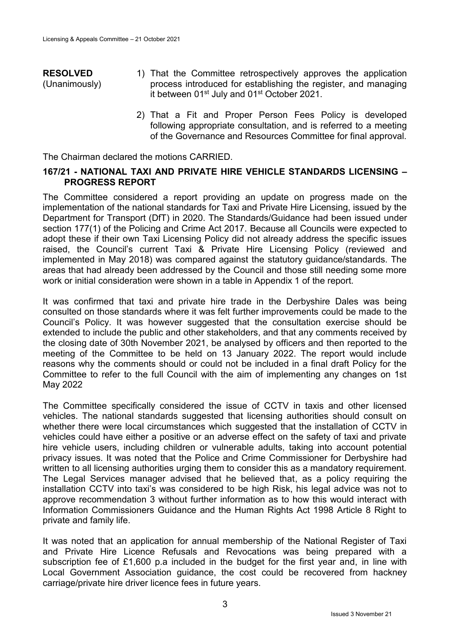#### **RESOLVED** (Unanimously) 1) That the Committee retrospectively approves the application process introduced for establishing the register, and managing it between 01<sup>st</sup> July and 01<sup>st</sup> October 2021.

2) That a Fit and Proper Person Fees Policy is developed following appropriate consultation, and is referred to a meeting of the Governance and Resources Committee for final approval.

The Chairman declared the motions CARRIED.

#### **167/21 - NATIONAL TAXI AND PRIVATE HIRE VEHICLE STANDARDS LICENSING – PROGRESS REPORT**

The Committee considered a report providing an update on progress made on the implementation of the national standards for Taxi and Private Hire Licensing, issued by the Department for Transport (DfT) in 2020. The Standards/Guidance had been issued under section 177(1) of the Policing and Crime Act 2017. Because all Councils were expected to adopt these if their own Taxi Licensing Policy did not already address the specific issues raised, the Council's current Taxi & Private Hire Licensing Policy (reviewed and implemented in May 2018) was compared against the statutory guidance/standards. The areas that had already been addressed by the Council and those still needing some more work or initial consideration were shown in a table in Appendix 1 of the report.

It was confirmed that taxi and private hire trade in the Derbyshire Dales was being consulted on those standards where it was felt further improvements could be made to the Council's Policy. It was however suggested that the consultation exercise should be extended to include the public and other stakeholders, and that any comments received by the closing date of 30th November 2021, be analysed by officers and then reported to the meeting of the Committee to be held on 13 January 2022. The report would include reasons why the comments should or could not be included in a final draft Policy for the Committee to refer to the full Council with the aim of implementing any changes on 1st May 2022

The Committee specifically considered the issue of CCTV in taxis and other licensed vehicles. The national standards suggested that licensing authorities should consult on whether there were local circumstances which suggested that the installation of CCTV in vehicles could have either a positive or an adverse effect on the safety of taxi and private hire vehicle users, including children or vulnerable adults, taking into account potential privacy issues. It was noted that the Police and Crime Commissioner for Derbyshire had written to all licensing authorities urging them to consider this as a mandatory requirement. The Legal Services manager advised that he believed that, as a policy requiring the installation CCTV into taxi's was considered to be high Risk, his legal advice was not to approve recommendation 3 without further information as to how this would interact with Information Commissioners Guidance and the Human Rights Act 1998 Article 8 Right to private and family life.

It was noted that an application for annual membership of the National Register of Taxi and Private Hire Licence Refusals and Revocations was being prepared with a subscription fee of £1,600 p.a included in the budget for the first year and, in line with Local Government Association guidance, the cost could be recovered from hackney carriage/private hire driver licence fees in future years.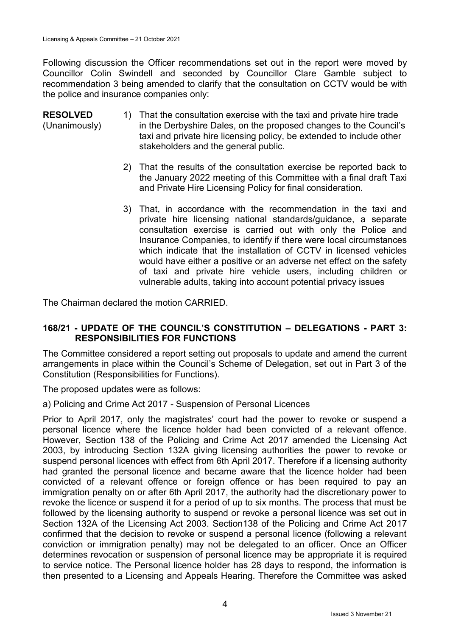Following discussion the Officer recommendations set out in the report were moved by Councillor Colin Swindell and seconded by Councillor Clare Gamble subject to recommendation 3 being amended to clarify that the consultation on CCTV would be with the police and insurance companies only:

- **RESOLVED** (Unanimously) 1) That the consultation exercise with the taxi and private hire trade in the Derbyshire Dales, on the proposed changes to the Council's taxi and private hire licensing policy, be extended to include other stakeholders and the general public.
	- 2) That the results of the consultation exercise be reported back to the January 2022 meeting of this Committee with a final draft Taxi and Private Hire Licensing Policy for final consideration.
	- 3) That, in accordance with the recommendation in the taxi and private hire licensing national standards/guidance, a separate consultation exercise is carried out with only the Police and Insurance Companies, to identify if there were local circumstances which indicate that the installation of CCTV in licensed vehicles would have either a positive or an adverse net effect on the safety of taxi and private hire vehicle users, including children or vulnerable adults, taking into account potential privacy issues

The Chairman declared the motion CARRIED.

#### **168/21 - UPDATE OF THE COUNCIL'S CONSTITUTION – DELEGATIONS - PART 3: RESPONSIBILITIES FOR FUNCTIONS**

The Committee considered a report setting out proposals to update and amend the current arrangements in place within the Council's Scheme of Delegation, set out in Part 3 of the Constitution (Responsibilities for Functions).

The proposed updates were as follows:

a) Policing and Crime Act 2017 - Suspension of Personal Licences

Prior to April 2017, only the magistrates' court had the power to revoke or suspend a personal licence where the licence holder had been convicted of a relevant offence. However, Section 138 of the Policing and Crime Act 2017 amended the Licensing Act 2003, by introducing Section 132A giving licensing authorities the power to revoke or suspend personal licences with effect from 6th April 2017. Therefore if a licensing authority had granted the personal licence and became aware that the licence holder had been convicted of a relevant offence or foreign offence or has been required to pay an immigration penalty on or after 6th April 2017, the authority had the discretionary power to revoke the licence or suspend it for a period of up to six months. The process that must be followed by the licensing authority to suspend or revoke a personal licence was set out in Section 132A of the Licensing Act 2003. Section138 of the Policing and Crime Act 2017 confirmed that the decision to revoke or suspend a personal licence (following a relevant conviction or immigration penalty) may not be delegated to an officer. Once an Officer determines revocation or suspension of personal licence may be appropriate it is required to service notice. The Personal licence holder has 28 days to respond, the information is then presented to a Licensing and Appeals Hearing. Therefore the Committee was asked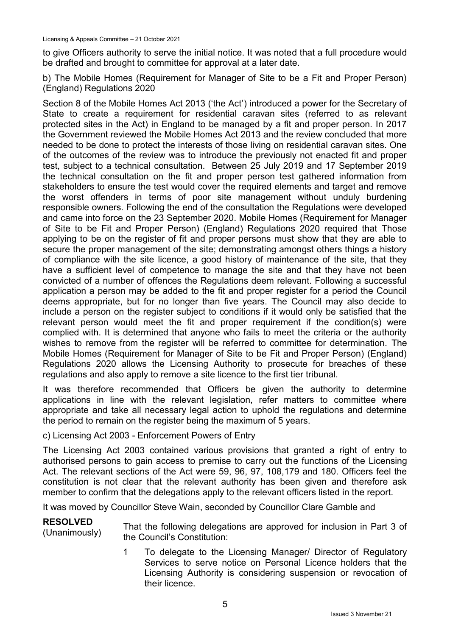to give Officers authority to serve the initial notice. It was noted that a full procedure would be drafted and brought to committee for approval at a later date.

b) The Mobile Homes (Requirement for Manager of Site to be a Fit and Proper Person) (England) Regulations 2020

Section 8 of the Mobile Homes Act 2013 ('the Act') introduced a power for the Secretary of State to create a requirement for residential caravan sites (referred to as relevant protected sites in the Act) in England to be managed by a fit and proper person. In 2017 the Government reviewed the Mobile Homes Act 2013 and the review concluded that more needed to be done to protect the interests of those living on residential caravan sites. One of the outcomes of the review was to introduce the previously not enacted fit and proper test, subject to a technical consultation. Between 25 July 2019 and 17 September 2019 the technical consultation on the fit and proper person test gathered information from stakeholders to ensure the test would cover the required elements and target and remove the worst offenders in terms of poor site management without unduly burdening responsible owners. Following the end of the consultation the Regulations were developed and came into force on the 23 September 2020. Mobile Homes (Requirement for Manager of Site to be Fit and Proper Person) (England) Regulations 2020 required that Those applying to be on the register of fit and proper persons must show that they are able to secure the proper management of the site; demonstrating amongst others things a history of compliance with the site licence, a good history of maintenance of the site, that they have a sufficient level of competence to manage the site and that they have not been convicted of a number of offences the Regulations deem relevant. Following a successful application a person may be added to the fit and proper register for a period the Council deems appropriate, but for no longer than five years. The Council may also decide to include a person on the register subject to conditions if it would only be satisfied that the relevant person would meet the fit and proper requirement if the condition(s) were complied with. It is determined that anyone who fails to meet the criteria or the authority wishes to remove from the register will be referred to committee for determination. The Mobile Homes (Requirement for Manager of Site to be Fit and Proper Person) (England) Regulations 2020 allows the Licensing Authority to prosecute for breaches of these regulations and also apply to remove a site licence to the first tier tribunal.

It was therefore recommended that Officers be given the authority to determine applications in line with the relevant legislation, refer matters to committee where appropriate and take all necessary legal action to uphold the regulations and determine the period to remain on the register being the maximum of 5 years.

#### c) Licensing Act 2003 - Enforcement Powers of Entry

The Licensing Act 2003 contained various provisions that granted a right of entry to authorised persons to gain access to premise to carry out the functions of the Licensing Act. The relevant sections of the Act were 59, 96, 97, 108,179 and 180. Officers feel the constitution is not clear that the relevant authority has been given and therefore ask member to confirm that the delegations apply to the relevant officers listed in the report.

It was moved by Councillor Steve Wain, seconded by Councillor Clare Gamble and

**RESOLVED** RESULVED<br>(Unanimously) the Council's Constitutions are approved for inclusion in Part 3 of the Council's Constitution:

> 1 To delegate to the Licensing Manager/ Director of Regulatory Services to serve notice on Personal Licence holders that the Licensing Authority is considering suspension or revocation of their licence.